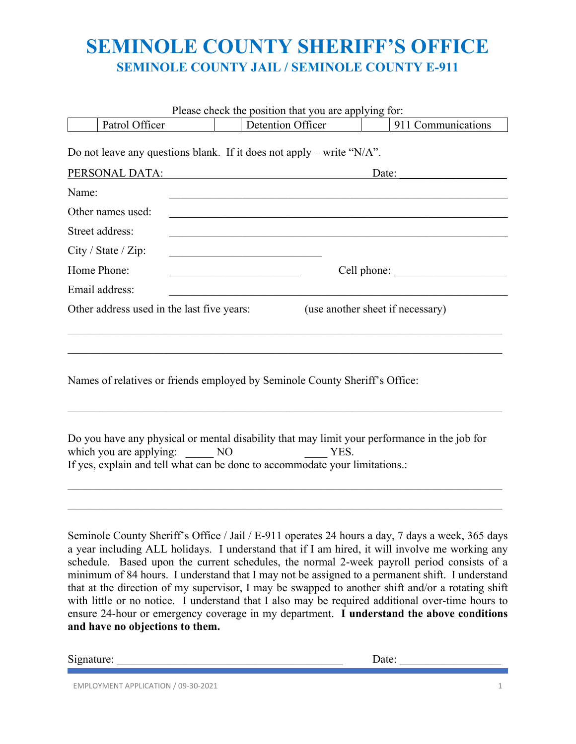# **SEMINOLE COUNTY SHERIFF'S OFFICE SEMINOLE COUNTY JAIL / SEMINOLE COUNTY E-911**

|                                            | Please check the position that you are applying for:                                                                                                                                                                                                                                                                                                                                                                                                                                                     |                                  |
|--------------------------------------------|----------------------------------------------------------------------------------------------------------------------------------------------------------------------------------------------------------------------------------------------------------------------------------------------------------------------------------------------------------------------------------------------------------------------------------------------------------------------------------------------------------|----------------------------------|
| Patrol Officer                             | Detention Officer                                                                                                                                                                                                                                                                                                                                                                                                                                                                                        | 911 Communications               |
| PERSONAL DATA:                             | Do not leave any questions blank. If it does not apply – write " $N/A$ ".                                                                                                                                                                                                                                                                                                                                                                                                                                | Date:                            |
| Name:                                      |                                                                                                                                                                                                                                                                                                                                                                                                                                                                                                          |                                  |
| Other names used:                          |                                                                                                                                                                                                                                                                                                                                                                                                                                                                                                          |                                  |
|                                            |                                                                                                                                                                                                                                                                                                                                                                                                                                                                                                          |                                  |
| Street address:                            |                                                                                                                                                                                                                                                                                                                                                                                                                                                                                                          |                                  |
| City / State / Zip:                        |                                                                                                                                                                                                                                                                                                                                                                                                                                                                                                          |                                  |
| Home Phone:                                |                                                                                                                                                                                                                                                                                                                                                                                                                                                                                                          | Cell phone:                      |
| Email address:                             |                                                                                                                                                                                                                                                                                                                                                                                                                                                                                                          |                                  |
| Other address used in the last five years: |                                                                                                                                                                                                                                                                                                                                                                                                                                                                                                          | (use another sheet if necessary) |
|                                            | Names of relatives or friends employed by Seminole County Sheriff's Office:                                                                                                                                                                                                                                                                                                                                                                                                                              |                                  |
| which you are applying:                    | Do you have any physical or mental disability that may limit your performance in the job for<br>YES.<br>NO<br>If yes, explain and tell what can be done to accommodate your limitations.:                                                                                                                                                                                                                                                                                                                |                                  |
|                                            | Seminole County Sheriff's Office / Jail / E-911 operates 24 hours a day, 7 days a week, 365 days<br>a year including ALL holidays. I understand that if I am hired, it will involve me working any<br>schedule. Based upon the current schedules, the normal 2-week payroll period consists of a<br>minimum of 84 hours. I understand that I may not be assigned to a permanent shift. I understand<br>that at the direction of my supervisor, I may be swapped to another shift and/or a rotating shift |                                  |

with little or no notice. I understand that I also may be required additional over-time hours to

ensure 24-hour or emergency coverage in my department. **I understand the above conditions and have no objections to them.** 

Signature: <u>Date:</u> 2014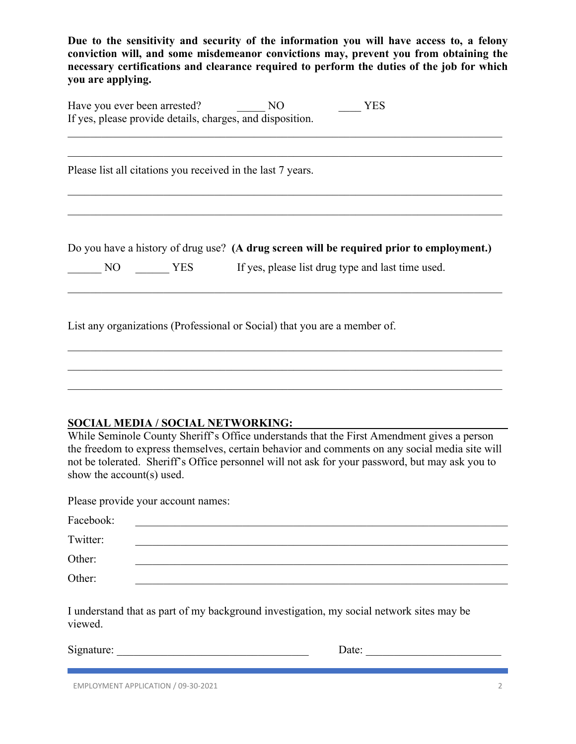**Due to the sensitivity and security of the information you will have access to, a felony conviction will, and some misdemeanor convictions may, prevent you from obtaining the necessary certifications and clearance required to perform the duties of the job for which you are applying.** 

| Have you ever been arrested?                              | NΟ | YES |
|-----------------------------------------------------------|----|-----|
| If yes, please provide details, charges, and disposition. |    |     |

Please list all citations you received in the last 7 years.

Do you have a history of drug use? **(A drug screen will be required prior to employment.)** 

 $\mathcal{L}_\mathcal{L} = \{ \mathcal{L}_\mathcal{L} = \{ \mathcal{L}_\mathcal{L} = \{ \mathcal{L}_\mathcal{L} = \{ \mathcal{L}_\mathcal{L} = \{ \mathcal{L}_\mathcal{L} = \{ \mathcal{L}_\mathcal{L} = \{ \mathcal{L}_\mathcal{L} = \{ \mathcal{L}_\mathcal{L} = \{ \mathcal{L}_\mathcal{L} = \{ \mathcal{L}_\mathcal{L} = \{ \mathcal{L}_\mathcal{L} = \{ \mathcal{L}_\mathcal{L} = \{ \mathcal{L}_\mathcal{L} = \{ \mathcal{L}_\mathcal{$ 

| <b>YES</b><br>NО |  |  |  | If yes, please list drug type and last time used. |
|------------------|--|--|--|---------------------------------------------------|
|------------------|--|--|--|---------------------------------------------------|

List any organizations (Professional or Social) that you are a member of.

#### **SOCIAL MEDIA / SOCIAL NETWORKING:**

While Seminole County Sheriff's Office understands that the First Amendment gives a person the freedom to express themselves, certain behavior and comments on any social media site will not be tolerated. Sheriff's Office personnel will not ask for your password, but may ask you to show the account(s) used.

 $\mathcal{L}_\mathcal{L} = \mathcal{L}_\mathcal{L} = \mathcal{L}_\mathcal{L} = \mathcal{L}_\mathcal{L} = \mathcal{L}_\mathcal{L} = \mathcal{L}_\mathcal{L} = \mathcal{L}_\mathcal{L} = \mathcal{L}_\mathcal{L} = \mathcal{L}_\mathcal{L} = \mathcal{L}_\mathcal{L} = \mathcal{L}_\mathcal{L} = \mathcal{L}_\mathcal{L} = \mathcal{L}_\mathcal{L} = \mathcal{L}_\mathcal{L} = \mathcal{L}_\mathcal{L} = \mathcal{L}_\mathcal{L} = \mathcal{L}_\mathcal{L}$ 

Please provide your account names:

| Facebook: |  |
|-----------|--|
| Twitter:  |  |
| Other:    |  |
| Other:    |  |

I understand that as part of my background investigation, my social network sites may be viewed.

Signature: \_\_\_\_\_\_\_\_\_\_\_\_\_\_\_\_\_\_\_\_\_\_\_\_\_\_\_\_\_\_\_\_\_\_ Date: \_\_\_\_\_\_\_\_\_\_\_\_\_\_\_\_\_\_\_\_\_\_\_\_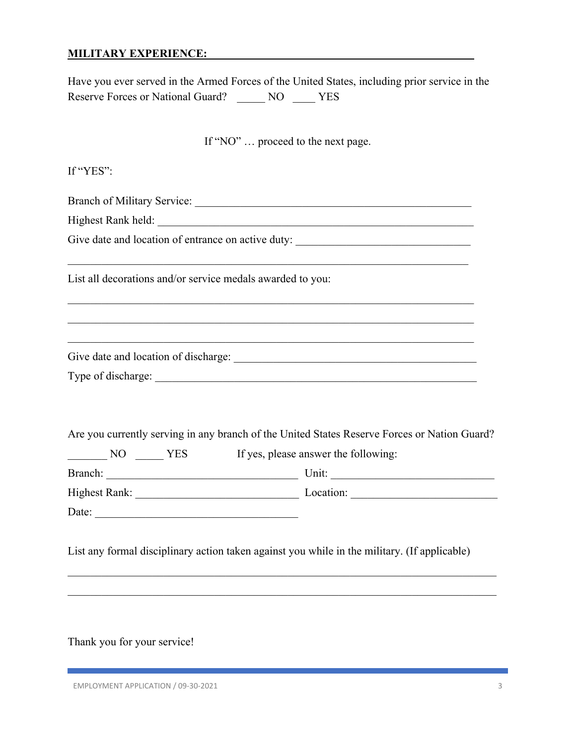#### **MILITARY EXPERIENCE:**

Have you ever served in the Armed Forces of the United States, including prior service in the Reserve Forces or National Guard? \_\_\_\_\_ NO \_\_\_\_ YES

If "NO" … proceed to the next page.

If "YES": Branch of Military Service: Highest Rank held: **We are all that the set of the set of the set of the set of the set of the set of the set of the set of the set of the set of the set of the set of the set of the set of the set of the set of the set of** Give date and location of entrance on active duty: \_\_\_\_\_\_\_\_\_\_\_\_\_\_\_\_\_\_\_\_\_\_\_\_\_\_\_\_\_\_ List all decorations and/or service medals awarded to you: Give date and location of discharge: \_\_\_\_\_\_\_\_\_\_\_\_\_\_\_\_\_\_\_\_\_\_\_\_\_\_\_\_\_\_\_\_\_\_\_\_\_\_\_\_\_\_\_ Type of discharge: \_\_\_\_\_\_\_\_\_\_\_\_\_\_\_\_\_\_\_\_\_\_\_\_\_\_\_\_\_\_\_\_\_\_\_\_\_\_\_\_\_\_\_\_\_\_\_\_\_\_\_\_\_\_\_\_\_ Are you currently serving in any branch of the United States Reserve Forces or Nation Guard? NO \_\_\_\_\_\_ YES If yes, please answer the following: Branch: \_\_\_\_\_\_\_\_\_\_\_\_\_\_\_\_\_\_\_\_\_\_\_\_\_\_\_\_\_\_\_\_\_\_ Unit: \_\_\_\_\_\_\_\_\_\_\_\_\_\_\_\_\_\_\_\_\_\_\_\_\_\_\_\_\_ Highest Rank: Location: Date: List any formal disciplinary action taken against you while in the military. (If applicable)

Thank you for your service!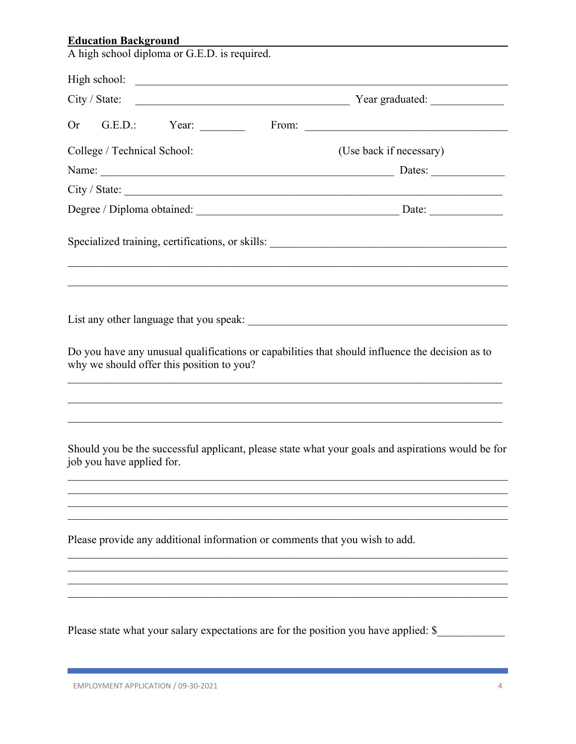| <b>Education Background</b>                                                                                                                  |
|----------------------------------------------------------------------------------------------------------------------------------------------|
| A high school diploma or G.E.D. is required.                                                                                                 |
|                                                                                                                                              |
| City / State:<br>Tear graduated:                                                                                                             |
| <b>Or</b>                                                                                                                                    |
| College / Technical School:<br>(Use back if necessary)                                                                                       |
|                                                                                                                                              |
|                                                                                                                                              |
|                                                                                                                                              |
|                                                                                                                                              |
| Do you have any unusual qualifications or capabilities that should influence the decision as to<br>why we should offer this position to you? |
| Should you be the successful applicant, please state what your goals and aspirations would be for<br>job you have applied for.               |
| Please provide any additional information or comments that you wish to add.                                                                  |
| Please state what your salary expectations are for the position you have applied: \$                                                         |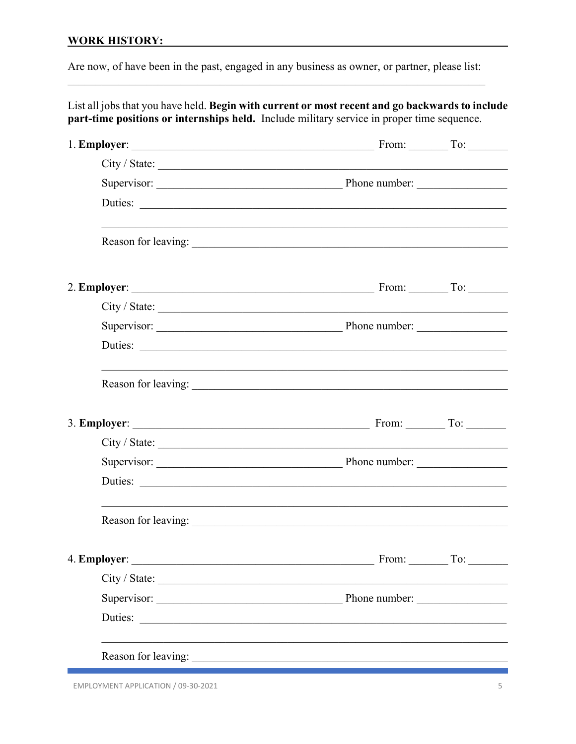### **WORK HISTORY:** WORK AND THE MANUSCRIPT OF THE MANUSCRIPT OF THE MANUSCRIPT OF THE MANUSCRIPT OF THE MANUSCRIPT OF THE MANUSCRIPT OF THE MANUSCRIPT OF THE MANUSCRIPT OF THE MANUSCRIPT OF THE MANUSCRIPT OF THE MANUSCRIPT OF

Are now, of have been in the past, engaged in any business as owner, or partner, please list:

| List all jobs that you have held. Begin with current or most recent and go backwards to include<br>part-time positions or internships held. Include military service in proper time sequence. |  |
|-----------------------------------------------------------------------------------------------------------------------------------------------------------------------------------------------|--|
|                                                                                                                                                                                               |  |
|                                                                                                                                                                                               |  |
| Supervisor: Phone number:                                                                                                                                                                     |  |
| Duties:                                                                                                                                                                                       |  |
|                                                                                                                                                                                               |  |
|                                                                                                                                                                                               |  |
|                                                                                                                                                                                               |  |
|                                                                                                                                                                                               |  |
| Duties:                                                                                                                                                                                       |  |
| Reason for leaving:                                                                                                                                                                           |  |
|                                                                                                                                                                                               |  |
|                                                                                                                                                                                               |  |
| Supervisor: Phone number:                                                                                                                                                                     |  |
| Duties:                                                                                                                                                                                       |  |
|                                                                                                                                                                                               |  |
|                                                                                                                                                                                               |  |
|                                                                                                                                                                                               |  |
| Supervisor: Phone number:                                                                                                                                                                     |  |
| Duties:                                                                                                                                                                                       |  |
|                                                                                                                                                                                               |  |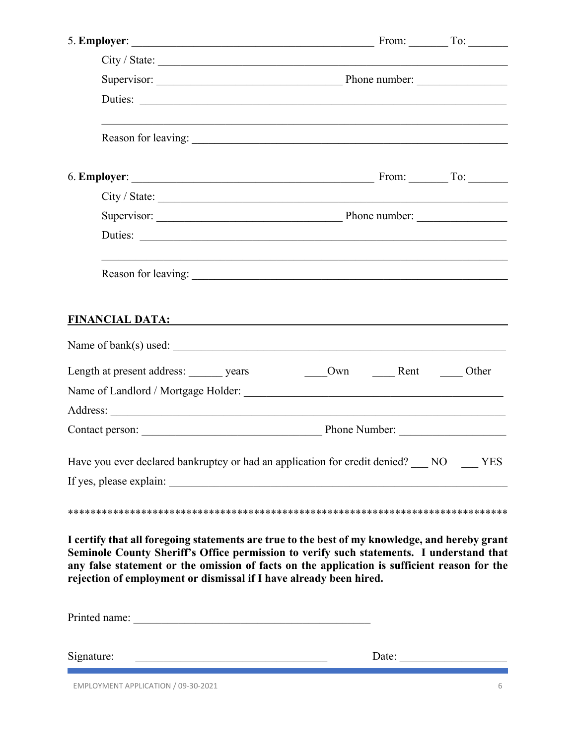|                                                                                                                                                                                                                                                                                                                                                                  | City / State:             |       |
|------------------------------------------------------------------------------------------------------------------------------------------------------------------------------------------------------------------------------------------------------------------------------------------------------------------------------------------------------------------|---------------------------|-------|
|                                                                                                                                                                                                                                                                                                                                                                  | Supervisor: Phone number: |       |
|                                                                                                                                                                                                                                                                                                                                                                  |                           |       |
|                                                                                                                                                                                                                                                                                                                                                                  | Reason for leaving:       |       |
|                                                                                                                                                                                                                                                                                                                                                                  |                           |       |
| City / State:                                                                                                                                                                                                                                                                                                                                                    |                           |       |
|                                                                                                                                                                                                                                                                                                                                                                  |                           |       |
|                                                                                                                                                                                                                                                                                                                                                                  | Duties:                   |       |
|                                                                                                                                                                                                                                                                                                                                                                  |                           |       |
| FINANCIAL DATA: EXPERIMENTAL DATA:                                                                                                                                                                                                                                                                                                                               |                           |       |
|                                                                                                                                                                                                                                                                                                                                                                  |                           |       |
| Length at present address: vears                                                                                                                                                                                                                                                                                                                                 | Own Rent                  | Other |
|                                                                                                                                                                                                                                                                                                                                                                  |                           |       |
|                                                                                                                                                                                                                                                                                                                                                                  |                           |       |
|                                                                                                                                                                                                                                                                                                                                                                  |                           |       |
| Have you ever declared bankruptcy or had an application for credit denied? NO NES                                                                                                                                                                                                                                                                                |                           |       |
|                                                                                                                                                                                                                                                                                                                                                                  |                           |       |
|                                                                                                                                                                                                                                                                                                                                                                  |                           |       |
| I certify that all foregoing statements are true to the best of my knowledge, and hereby grant<br>Seminole County Sheriff's Office permission to verify such statements. I understand that<br>any false statement or the omission of facts on the application is sufficient reason for the<br>rejection of employment or dismissal if I have already been hired. |                           |       |
|                                                                                                                                                                                                                                                                                                                                                                  |                           |       |
| Signature:                                                                                                                                                                                                                                                                                                                                                       |                           | Date: |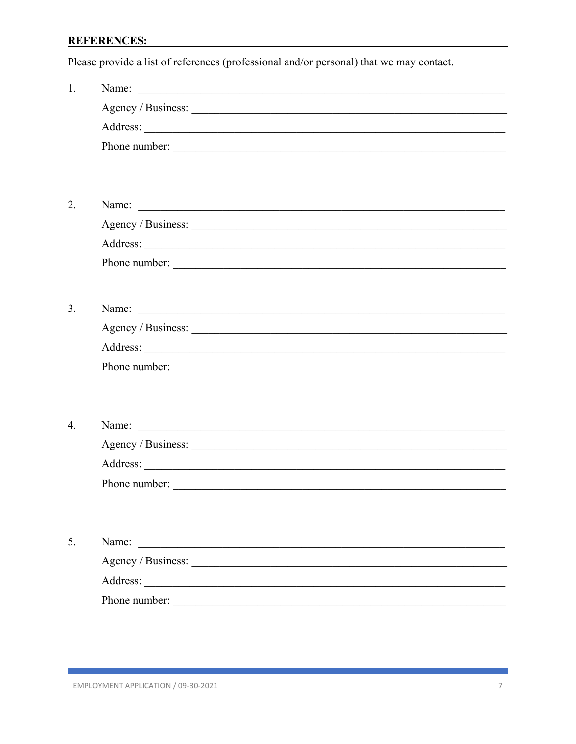#### **REFERENCES: EXECUTE: EXECUTE: EXECUTE: EXECUTE: EXECUTE: EXECUTE: EXECUTE: EXECUTE: EXECUTE: EXECUTE: EXECUTE: EXECUTE: EXECUTE: EXECUTE: EXECUTE: EXECUTE: EXECUTE: EXECUTE: EXECUTE:**

Please provide a list of references (professional and/or personal) that we may contact.

| 1.               |                                                                                                                                                                                                                               |
|------------------|-------------------------------------------------------------------------------------------------------------------------------------------------------------------------------------------------------------------------------|
|                  | Agency / Business: 1988.                                                                                                                                                                                                      |
|                  |                                                                                                                                                                                                                               |
|                  |                                                                                                                                                                                                                               |
|                  |                                                                                                                                                                                                                               |
|                  |                                                                                                                                                                                                                               |
| 2.               | Name: <u>Name</u> : 2007                                                                                                                                                                                                      |
|                  | Agency / Business: 1988.                                                                                                                                                                                                      |
|                  |                                                                                                                                                                                                                               |
|                  | Phone number:                                                                                                                                                                                                                 |
|                  |                                                                                                                                                                                                                               |
| 3.               |                                                                                                                                                                                                                               |
|                  |                                                                                                                                                                                                                               |
|                  |                                                                                                                                                                                                                               |
|                  |                                                                                                                                                                                                                               |
|                  |                                                                                                                                                                                                                               |
|                  |                                                                                                                                                                                                                               |
| $\overline{4}$ . | Name: Name: Name: Name: Name: Name: Name: Name: Name: Name: Name: Name: Name: Name: Name: Name: Name: Name: Name: Name: Name: Name: Name: Name: Name: Name: Name: Name: Name: Name: Name: Name: Name: Name: Name: Name: Name: |
|                  |                                                                                                                                                                                                                               |
|                  |                                                                                                                                                                                                                               |
|                  |                                                                                                                                                                                                                               |
|                  |                                                                                                                                                                                                                               |
|                  |                                                                                                                                                                                                                               |
| 5.               | Name:<br><u> 1980 - Jan Barbara, manazarta bashkar a shekara tsh</u>                                                                                                                                                          |
|                  |                                                                                                                                                                                                                               |
|                  |                                                                                                                                                                                                                               |
|                  | Phone number:                                                                                                                                                                                                                 |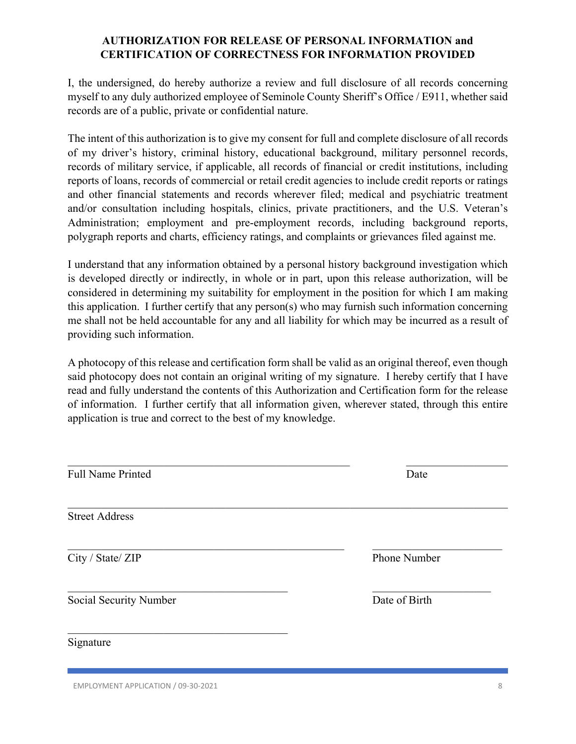## **AUTHORIZATION FOR RELEASE OF PERSONAL INFORMATION and CERTIFICATION OF CORRECTNESS FOR INFORMATION PROVIDED**

I, the undersigned, do hereby authorize a review and full disclosure of all records concerning myself to any duly authorized employee of Seminole County Sheriff's Office / E911, whether said records are of a public, private or confidential nature.

The intent of this authorization is to give my consent for full and complete disclosure of all records of my driver's history, criminal history, educational background, military personnel records, records of military service, if applicable, all records of financial or credit institutions, including reports of loans, records of commercial or retail credit agencies to include credit reports or ratings and other financial statements and records wherever filed; medical and psychiatric treatment and/or consultation including hospitals, clinics, private practitioners, and the U.S. Veteran's Administration; employment and pre-employment records, including background reports, polygraph reports and charts, efficiency ratings, and complaints or grievances filed against me.

I understand that any information obtained by a personal history background investigation which is developed directly or indirectly, in whole or in part, upon this release authorization, will be considered in determining my suitability for employment in the position for which I am making this application. I further certify that any person(s) who may furnish such information concerning me shall not be held accountable for any and all liability for which may be incurred as a result of providing such information.

A photocopy of this release and certification form shall be valid as an original thereof, even though said photocopy does not contain an original writing of my signature. I hereby certify that I have read and fully understand the contents of this Authorization and Certification form for the release of information. I further certify that all information given, wherever stated, through this entire application is true and correct to the best of my knowledge.

| <b>Full Name Printed</b>      | Date          |
|-------------------------------|---------------|
| <b>Street Address</b>         |               |
| City / State/ ZIP             | Phone Number  |
| <b>Social Security Number</b> | Date of Birth |
| Signature                     |               |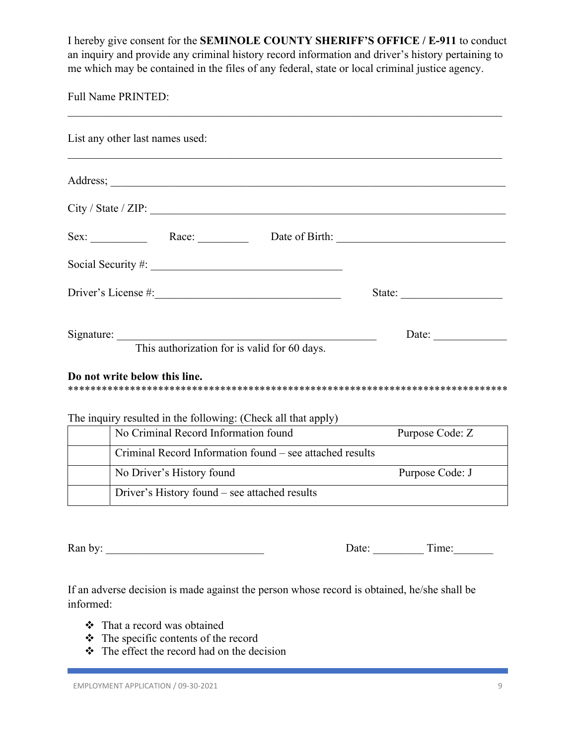I hereby give consent for the **SEMINOLE COUNTY SHERIFF'S OFFICE / E-911** to conduct an inquiry and provide any criminal history record information and driver's history pertaining to me which may be contained in the files of any federal, state or local criminal justice agency.

Full Name PRINTED:

| List any other last names used:                                               |                 |
|-------------------------------------------------------------------------------|-----------------|
|                                                                               |                 |
| City / State / ZIP:                                                           |                 |
| Sex: Race: Race: Date of Birth:                                               |                 |
|                                                                               |                 |
|                                                                               | State:          |
|                                                                               | Date:           |
| This authorization for is valid for 60 days.<br>Do not write below this line. |                 |
| The inquiry resulted in the following: (Check all that apply)                 |                 |
| No Criminal Record Information found                                          | Purpose Code: Z |
| Criminal Record Information found – see attached results                      |                 |
|                                                                               |                 |
| No Driver's History found                                                     | Purpose Code: J |

Ran by: \_\_\_\_\_\_\_\_\_\_\_\_\_\_\_\_\_\_\_\_\_\_\_\_\_\_\_\_ Date: \_\_\_\_\_\_\_\_\_ Time:\_\_\_\_\_\_\_

If an adverse decision is made against the person whose record is obtained, he/she shall be informed:

- That a record was obtained
- $\div$  The specific contents of the record
- $\div$  The effect the record had on the decision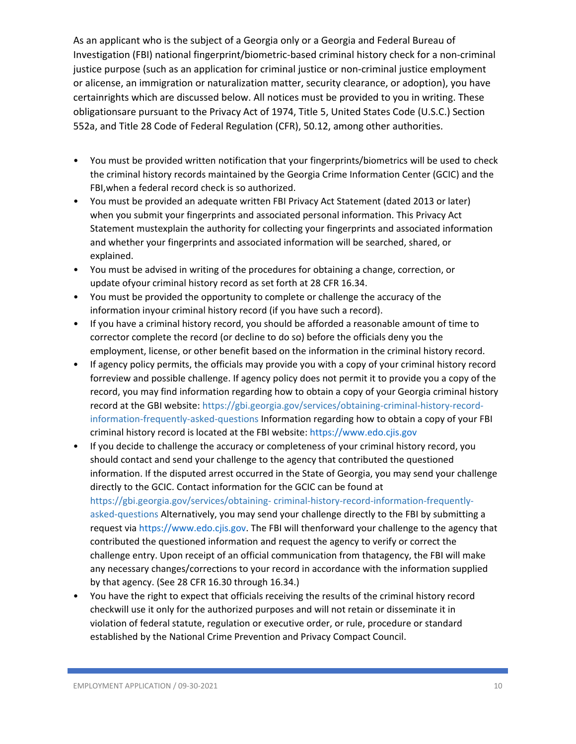As an applicant who is the subject of a Georgia only or a Georgia and Federal Bureau of Investigation (FBI) national fingerprint/biometric‐based criminal history check for a non‐criminal justice purpose (such as an application for criminal justice or non‐criminal justice employment or alicense, an immigration or naturalization matter, security clearance, or adoption), you have certainrights which are discussed below. All notices must be provided to you in writing. These obligationsare pursuant to the Privacy Act of 1974, Title 5, United States Code (U.S.C.) Section 552a, and Title 28 Code of Federal Regulation (CFR), 50.12, among other authorities.

- You must be provided written notification that your fingerprints/biometrics will be used to check the criminal history records maintained by the Georgia Crime Information Center (GCIC) and the FBI,when a federal record check is so authorized.
- You must be provided an adequate written FBI Privacy Act Statement (dated 2013 or later) when you submit your fingerprints and associated personal information. This Privacy Act Statement mustexplain the authority for collecting your fingerprints and associated information and whether your fingerprints and associated information will be searched, shared, or explained.
- You must be advised in writing of the procedures for obtaining a change, correction, or update ofyour criminal history record as set forth at 28 CFR 16.34.
- You must be provided the opportunity to complete or challenge the accuracy of the information inyour criminal history record (if you have such a record).
- If you have a criminal history record, you should be afforded a reasonable amount of time to corrector complete the record (or decline to do so) before the officials deny you the employment, license, or other benefit based on the information in the criminal history record.
- If agency policy permits, the officials may provide you with a copy of your criminal history record forreview and possible challenge. If agency policy does not permit it to provide you a copy of the record, you may find information regarding how to obtain a copy of your Georgia criminal history record at the GBI website: https://gbi.georgia.gov/services/obtaining-criminal-history-recordinformation-frequently-asked-questions Information regarding how to obtain a copy of your FBI criminal history record is located at the FBI website: https://www.edo.cjis.gov
- If you decide to challenge the accuracy or completeness of your criminal history record, you should contact and send your challenge to the agency that contributed the questioned information. If the disputed arrest occurred in the State of Georgia, you may send your challenge directly to the GCIC. Contact information for the GCIC can be found at https://gbi.georgia.gov/services/obtaining-criminal-history-record-information-frequentlyasked-questions Alternatively, you may send your challenge directly to the FBI by submitting a request via https://www.edo.cjis.gov. The FBI will thenforward your challenge to the agency that contributed the questioned information and request the agency to verify or correct the challenge entry. Upon receipt of an official communication from thatagency, the FBI will make any necessary changes/corrections to your record in accordance with the information supplied by that agency. (See 28 CFR 16.30 through 16.34.)
- You have the right to expect that officials receiving the results of the criminal history record checkwill use it only for the authorized purposes and will not retain or disseminate it in violation of federal statute, regulation or executive order, or rule, procedure or standard established by the National Crime Prevention and Privacy Compact Council.